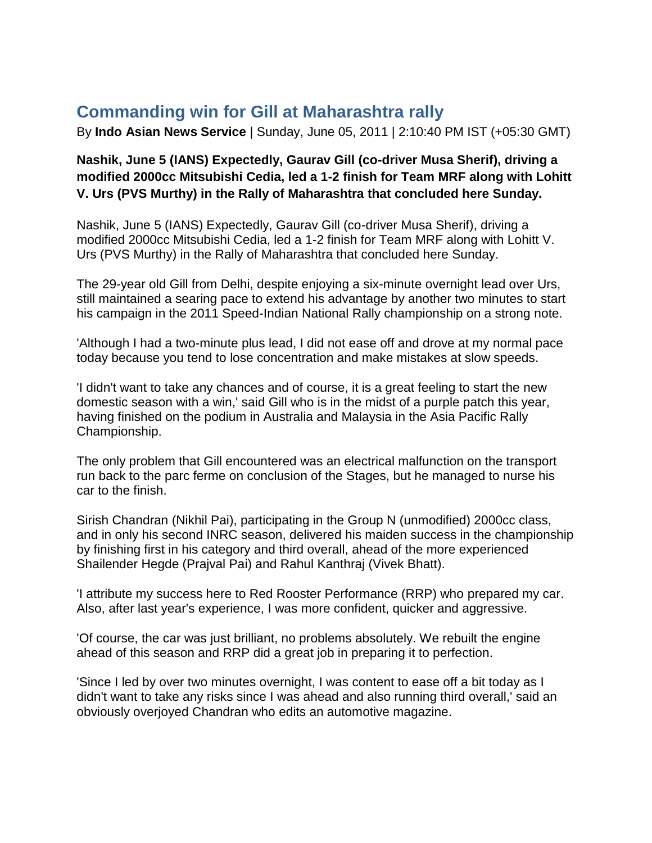## **Commanding win for Gill at Maharashtra rally**

By **Indo Asian News Service** | Sunday, June 05, 2011 | 2:10:40 PM IST (+05:30 GMT)

## **Nashik, June 5 (IANS) Expectedly, Gaurav Gill (co-driver Musa Sherif), driving a modified 2000cc Mitsubishi Cedia, led a 1-2 finish for Team MRF along with Lohitt V. Urs (PVS Murthy) in the Rally of Maharashtra that concluded here Sunday.**

Nashik, June 5 (IANS) Expectedly, Gaurav Gill (co-driver Musa Sherif), driving a modified 2000cc Mitsubishi Cedia, led a 1-2 finish for Team MRF along with Lohitt V. Urs (PVS Murthy) in the Rally of Maharashtra that concluded here Sunday.

The 29-year old Gill from Delhi, despite enjoying a six-minute overnight lead over Urs, still maintained a searing pace to extend his advantage by another two minutes to start his campaign in the 2011 Speed-Indian National Rally championship on a strong note.

'Although I had a two-minute plus lead, I did not ease off and drove at my normal pace today because you tend to lose concentration and make mistakes at slow speeds.

'I didn't want to take any chances and of course, it is a great feeling to start the new domestic season with a win,' said Gill who is in the midst of a purple patch this year, having finished on the podium in Australia and Malaysia in the Asia Pacific Rally Championship.

The only problem that Gill encountered was an electrical malfunction on the transport run back to the parc ferme on conclusion of the Stages, but he managed to nurse his car to the finish.

Sirish Chandran (Nikhil Pai), participating in the Group N (unmodified) 2000cc class, and in only his second INRC season, delivered his maiden success in the championship by finishing first in his category and third overall, ahead of the more experienced Shailender Hegde (Prajval Pai) and Rahul Kanthraj (Vivek Bhatt).

'I attribute my success here to Red Rooster Performance (RRP) who prepared my car. Also, after last year's experience, I was more confident, quicker and aggressive.

'Of course, the car was just brilliant, no problems absolutely. We rebuilt the engine ahead of this season and RRP did a great job in preparing it to perfection.

'Since I led by over two minutes overnight, I was content to ease off a bit today as I didn't want to take any risks since I was ahead and also running third overall,' said an obviously overjoyed Chandran who edits an automotive magazine.